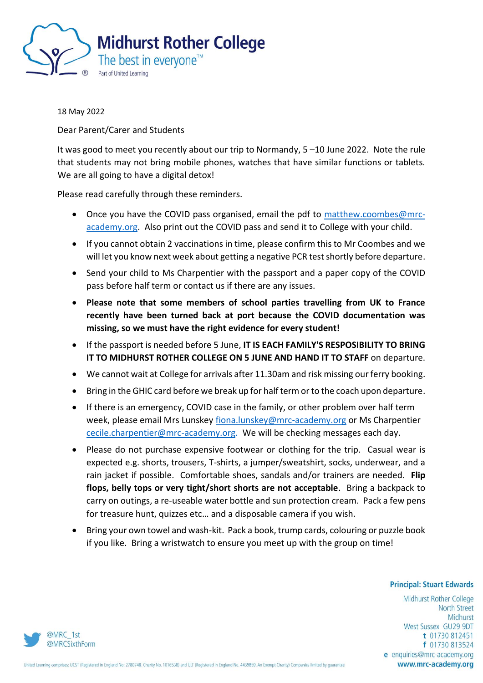

18 May 2022

Dear Parent/Carer and Students

It was good to meet you recently about our trip to Normandy, 5 –10 June 2022. Note the rule that students may not bring mobile phones, watches that have similar functions or tablets. We are all going to have a digital detox!

Please read carefully through these reminders.

- Once you have the COVID pass organised, email the pdf to [matthew.coombes@mrc](mailto:matthew.coombes@mrc-academy.org)[academy.org.](mailto:matthew.coombes@mrc-academy.org) Also print out the COVID pass and send it to College with your child.
- If you cannot obtain 2 vaccinations in time, please confirm this to Mr Coombes and we will let you know next week about getting a negative PCR test shortly before departure.
- Send your child to Ms Charpentier with the passport and a paper copy of the COVID pass before half term or contact us if there are any issues.
- **Please note that some members of school parties travelling from UK to France recently have been turned back at port because the COVID documentation was missing, so we must have the right evidence for every student!**
- If the passport is needed before 5 June, **IT IS EACH FAMILY'S RESPOSIBILITY TO BRING IT TO MIDHURST ROTHER COLLEGE ON 5 JUNE AND HAND IT TO STAFF** on departure.
- We cannot wait at College for arrivals after 11.30am and risk missing our ferry booking.
- Bring in the GHIC card before we break up for half term or to the coach upon departure.
- If there is an emergency, COVID case in the family, or other problem over half term week, please email Mrs Lunskey [fiona.lunskey@mrc-academy.org](mailto:fiona.lunskey@mrc-academy.org) or Ms Charpentier [cecile.charpentier@mrc-academy.org.](mailto:cecile.charpentier@mrc-academy.org) We will be checking messages each day.
- Please do not purchase expensive footwear or clothing for the trip. Casual wear is expected e.g. shorts, trousers, T-shirts, a jumper/sweatshirt, socks, underwear, and a rain jacket if possible. Comfortable shoes, sandals and/or trainers are needed. **Flip flops, belly tops or very tight/short shorts are not acceptable**. Bring a backpack to carry on outings, a re-useable water bottle and sun protection cream. Pack a few pens for treasure hunt, quizzes etc… and a disposable camera if you wish.
- Bring your own towel and wash-kit. Pack a book, trump cards, colouring or puzzle book if you like. Bring a wristwatch to ensure you meet up with the group on time!

## **Principal: Stuart Edwards**

Midhurst Rother College **North Street** Midhurst West Sussex GU29 9DT t 01730 812451 f 01730 813524 e enquiries@mrc-academy.org www.mrc-academy.org